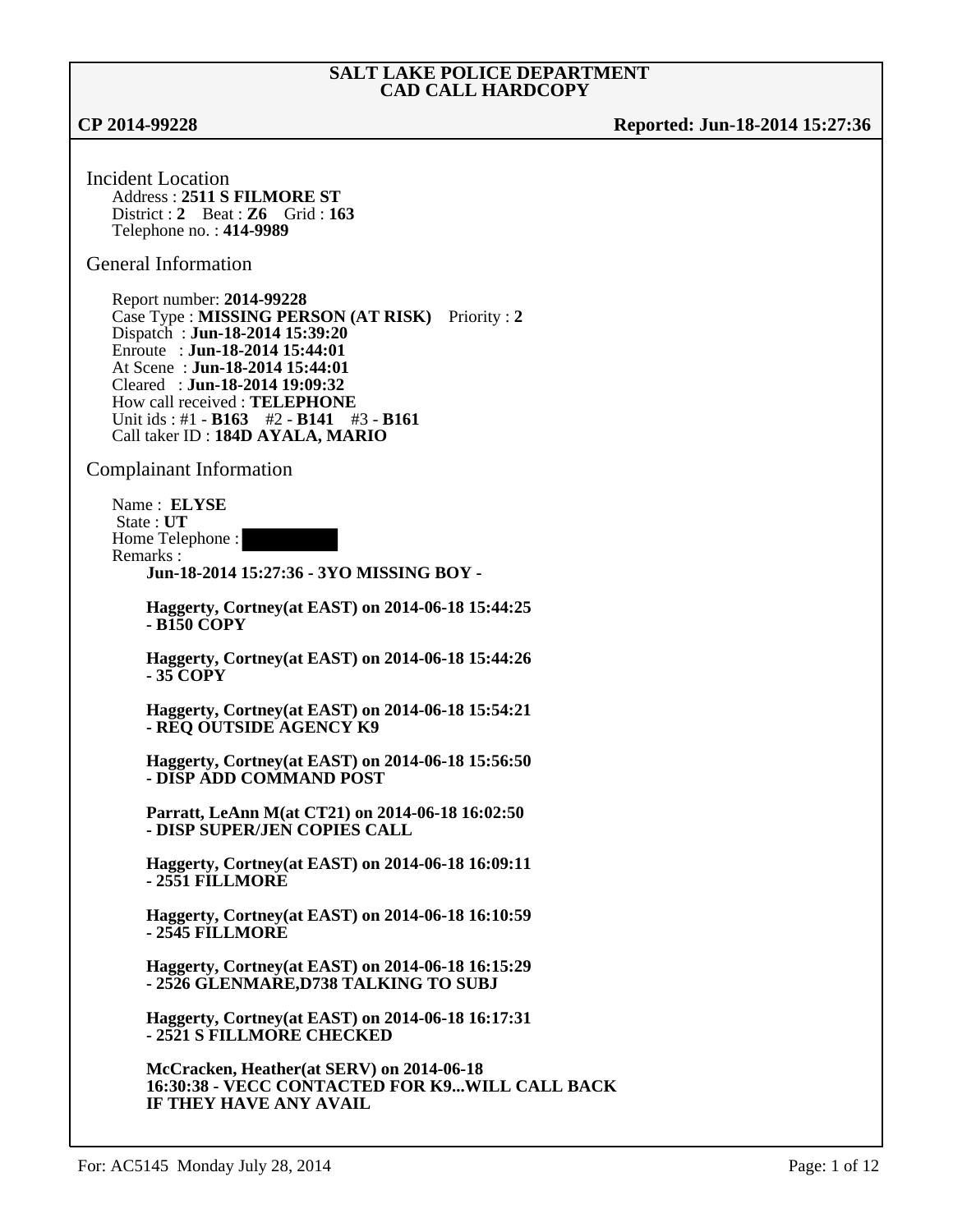**CP 2014-99228 Reported: Jun-18-2014 15:27:36**

Incident Location Address : **2511 S FILMORE ST** District : **2** Beat : **Z6** Grid : **163** Telephone no. : **414-9989**

General Information

Report number: **2014-99228** Case Type : **MISSING PERSON (AT RISK)** Priority : **2** Dispatch : **Jun-18-2014 15:39:20** Enroute : **Jun-18-2014 15:44:01** At Scene : **Jun-18-2014 15:44:01** Cleared : **Jun-18-2014 19:09:32** How call received : **TELEPHONE** Unit ids : #1 - **B163** #2 - **B141** #3 - **B161**  Call taker ID : **184D AYALA, MARIO**

Complainant Information

Name : **ELYSE** State : **UT** Home Telephone : Remarks : **Jun-18-2014 15:27:36 - 3YO MISSING BOY -**

**Haggerty, Cortney(at EAST) on 2014-06-18 15:44:25 - B150 COPY**

**Haggerty, Cortney(at EAST) on 2014-06-18 15:44:26 - 35 COPY**

**Haggerty, Cortney(at EAST) on 2014-06-18 15:54:21 - REQ OUTSIDE AGENCY K9**

**Haggerty, Cortney(at EAST) on 2014-06-18 15:56:50 - DISP ADD COMMAND POST**

**Parratt, LeAnn M(at CT21) on 2014-06-18 16:02:50 - DISP SUPER/JEN COPIES CALL**

**Haggerty, Cortney(at EAST) on 2014-06-18 16:09:11 - 2551 FILLMORE**

**Haggerty, Cortney(at EAST) on 2014-06-18 16:10:59 - 2545 FILLMORE**

**Haggerty, Cortney(at EAST) on 2014-06-18 16:15:29 - 2526 GLENMARE,D738 TALKING TO SUBJ**

**Haggerty, Cortney(at EAST) on 2014-06-18 16:17:31 - 2521 S FILLMORE CHECKED**

**McCracken, Heather(at SERV) on 2014-06-18 16:30:38 - VECC CONTACTED FOR K9...WILL CALL BACK IF THEY HAVE ANY AVAIL**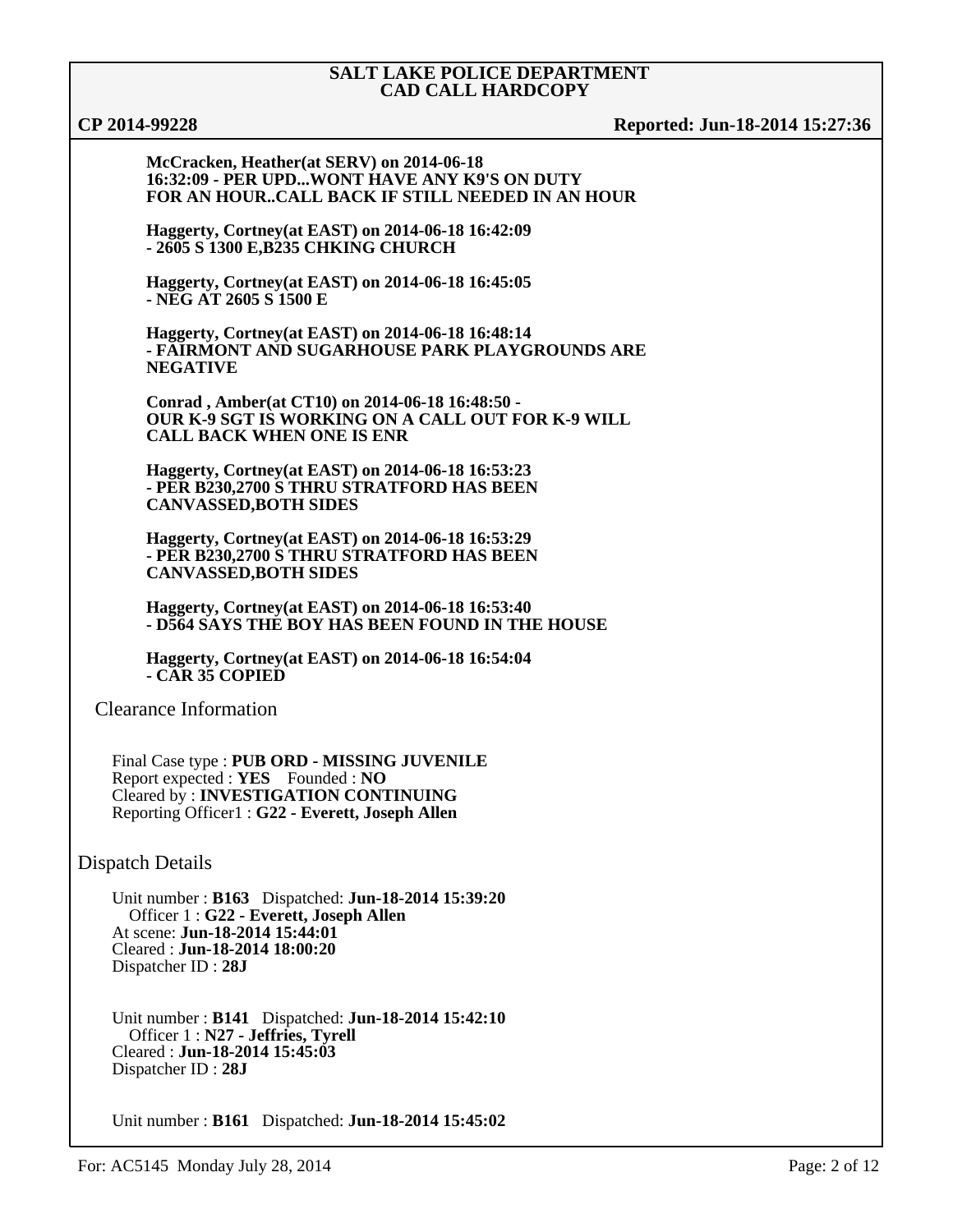**CP 2014-99228 Reported: Jun-18-2014 15:27:36**

**McCracken, Heather(at SERV) on 2014-06-18 16:32:09 - PER UPD...WONT HAVE ANY K9'S ON DUTY FOR AN HOUR..CALL BACK IF STILL NEEDED IN AN HOUR**

**Haggerty, Cortney(at EAST) on 2014-06-18 16:42:09 - 2605 S 1300 E,B235 CHKING CHURCH**

**Haggerty, Cortney(at EAST) on 2014-06-18 16:45:05 - NEG AT 2605 S 1500 E**

**Haggerty, Cortney(at EAST) on 2014-06-18 16:48:14 - FAIRMONT AND SUGARHOUSE PARK PLAYGROUNDS ARE NEGATIVE**

**Conrad , Amber(at CT10) on 2014-06-18 16:48:50 - OUR K-9 SGT IS WORKING ON A CALL OUT FOR K-9 WILL CALL BACK WHEN ONE IS ENR**

**Haggerty, Cortney(at EAST) on 2014-06-18 16:53:23 - PER B230,2700 S THRU STRATFORD HAS BEEN CANVASSED,BOTH SIDES**

**Haggerty, Cortney(at EAST) on 2014-06-18 16:53:29 - PER B230,2700 S THRU STRATFORD HAS BEEN CANVASSED,BOTH SIDES**

**Haggerty, Cortney(at EAST) on 2014-06-18 16:53:40 - D564 SAYS THE BOY HAS BEEN FOUND IN THE HOUSE**

**Haggerty, Cortney(at EAST) on 2014-06-18 16:54:04 - CAR 35 COPIED**

Clearance Information

Final Case type : **PUB ORD - MISSING JUVENILE** Report expected : **YES** Founded : **NO** Cleared by : **INVESTIGATION CONTINUING** Reporting Officer1 : **G22 - Everett, Joseph Allen**

Dispatch Details

Unit number : **B163** Dispatched: **Jun-18-2014 15:39:20** Officer 1 : **G22 - Everett, Joseph Allen** At scene: **Jun-18-2014 15:44:01** Cleared : **Jun-18-2014 18:00:20** Dispatcher ID : **28J**

Unit number : **B141** Dispatched: **Jun-18-2014 15:42:10** Officer 1 : **N27 - Jeffries, Tyrell** Cleared : **Jun-18-2014 15:45:03** Dispatcher ID : **28J**

Unit number : **B161** Dispatched: **Jun-18-2014 15:45:02**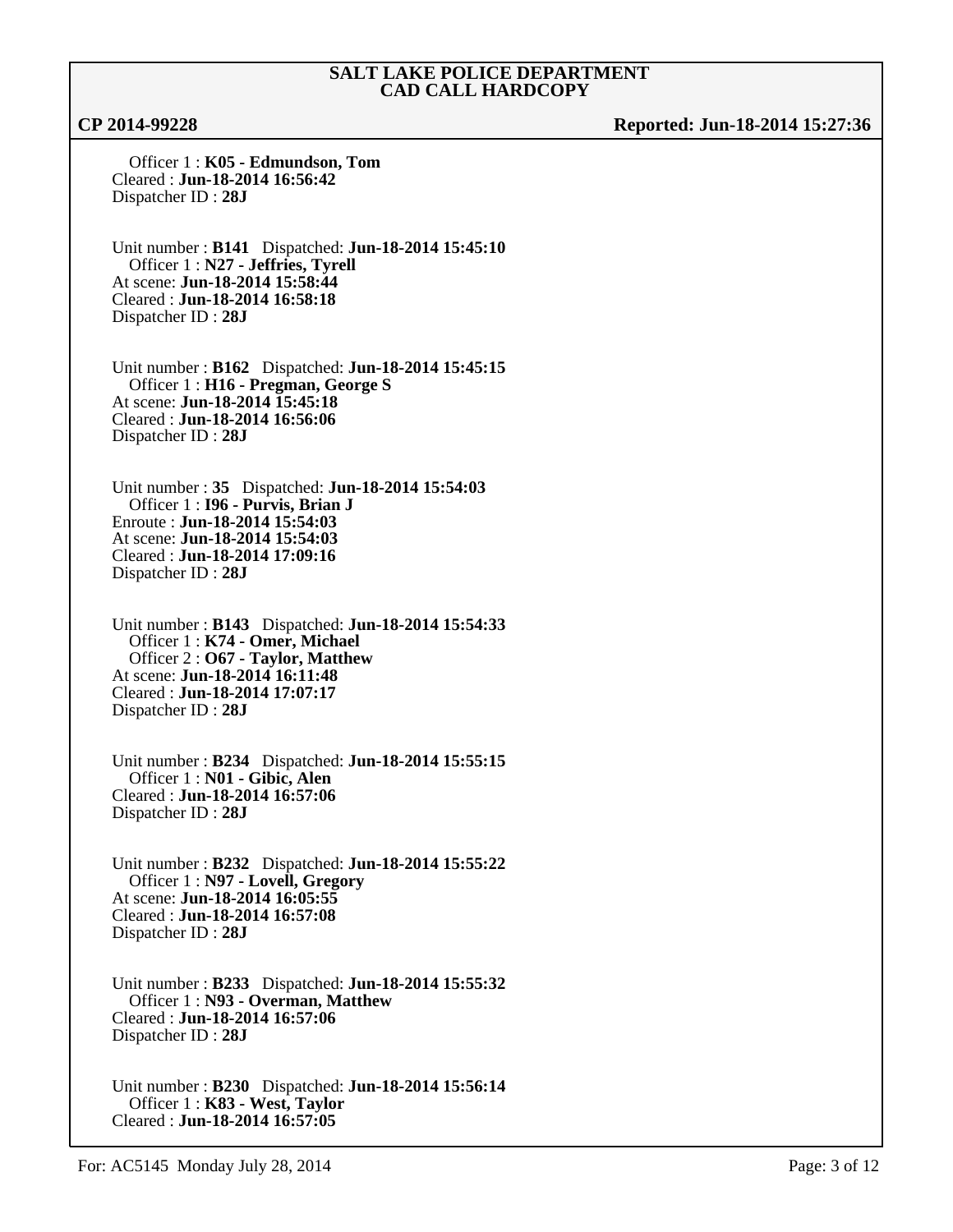**CP 2014-99228 Reported: Jun-18-2014 15:27:36**

 Officer 1 : **K05 - Edmundson, Tom** Cleared : **Jun-18-2014 16:56:42** Dispatcher ID : **28J**

Unit number : **B141** Dispatched: **Jun-18-2014 15:45:10** Officer 1 : **N27 - Jeffries, Tyrell** At scene: **Jun-18-2014 15:58:44** Cleared : **Jun-18-2014 16:58:18** Dispatcher ID : **28J**

Unit number : **B162** Dispatched: **Jun-18-2014 15:45:15** Officer 1 : **H16 - Pregman, George S** At scene: **Jun-18-2014 15:45:18** Cleared : **Jun-18-2014 16:56:06** Dispatcher ID : **28J**

Unit number : **35** Dispatched: **Jun-18-2014 15:54:03** Officer 1 : **I96 - Purvis, Brian J** Enroute : **Jun-18-2014 15:54:03** At scene: **Jun-18-2014 15:54:03** Cleared : **Jun-18-2014 17:09:16** Dispatcher ID : **28J**

Unit number : **B143** Dispatched: **Jun-18-2014 15:54:33** Officer 1 : **K74 - Omer, Michael** Officer 2 : **O67 - Taylor, Matthew** At scene: **Jun-18-2014 16:11:48** Cleared : **Jun-18-2014 17:07:17** Dispatcher ID : **28J**

Unit number : **B234** Dispatched: **Jun-18-2014 15:55:15** Officer 1 : **N01 - Gibic, Alen** Cleared : **Jun-18-2014 16:57:06** Dispatcher ID : **28J**

Unit number : **B232** Dispatched: **Jun-18-2014 15:55:22** Officer 1 : **N97 - Lovell, Gregory** At scene: **Jun-18-2014 16:05:55** Cleared : **Jun-18-2014 16:57:08** Dispatcher ID : **28J**

Unit number : **B233** Dispatched: **Jun-18-2014 15:55:32** Officer 1 : **N93 - Overman, Matthew** Cleared : **Jun-18-2014 16:57:06** Dispatcher ID : **28J**

Unit number : **B230** Dispatched: **Jun-18-2014 15:56:14** Officer 1 : **K83 - West, Taylor** Cleared : **Jun-18-2014 16:57:05**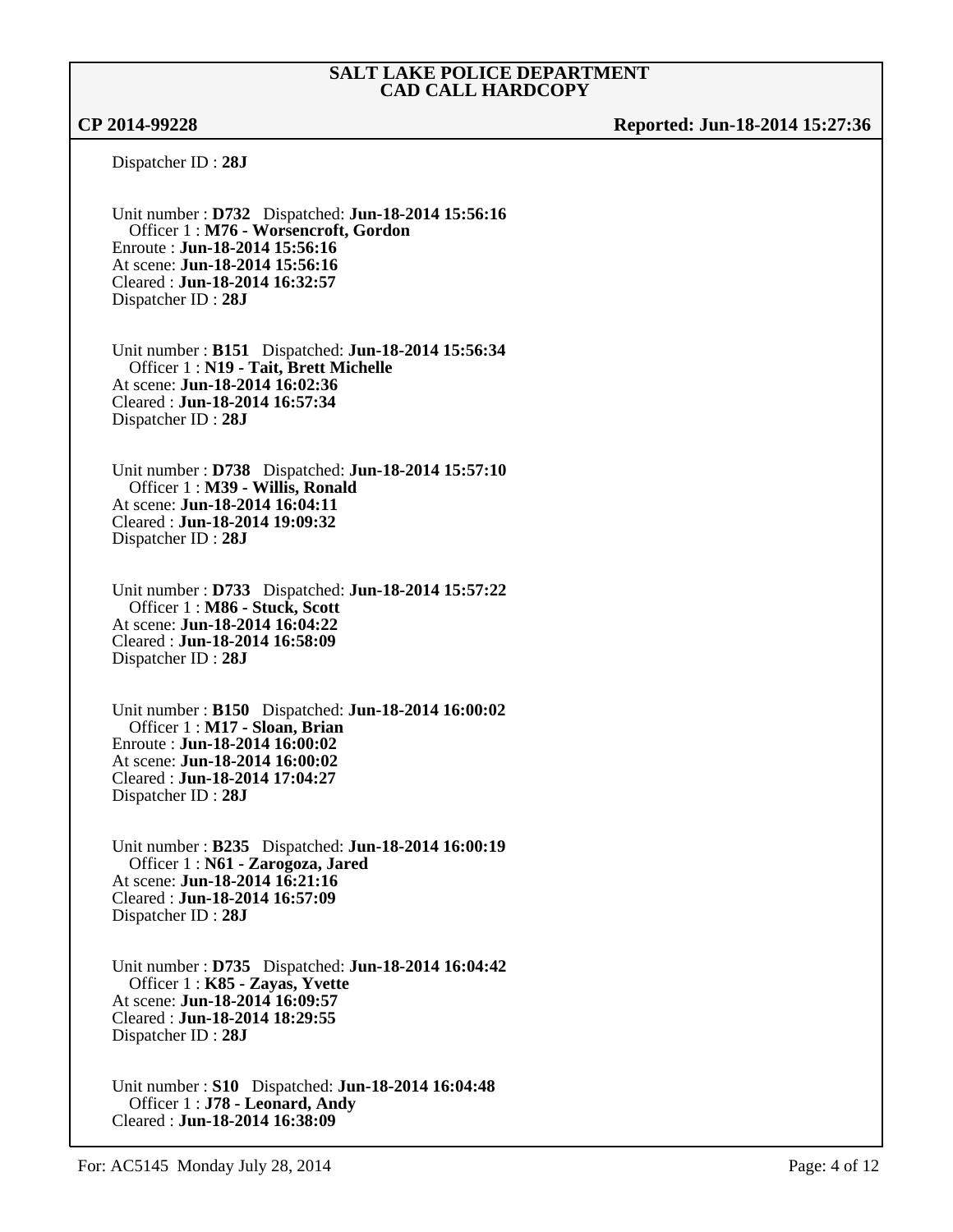**CP 2014-99228 Reported: Jun-18-2014 15:27:36**

Dispatcher ID : **28J**

Unit number : **D732** Dispatched: **Jun-18-2014 15:56:16** Officer 1 : **M76 - Worsencroft, Gordon** Enroute : **Jun-18-2014 15:56:16** At scene: **Jun-18-2014 15:56:16** Cleared : **Jun-18-2014 16:32:57** Dispatcher ID : **28J**

Unit number : **B151** Dispatched: **Jun-18-2014 15:56:34** Officer 1 : **N19 - Tait, Brett Michelle** At scene: **Jun-18-2014 16:02:36** Cleared : **Jun-18-2014 16:57:34** Dispatcher ID : **28J**

Unit number : **D738** Dispatched: **Jun-18-2014 15:57:10** Officer 1 : **M39 - Willis, Ronald** At scene: **Jun-18-2014 16:04:11** Cleared : **Jun-18-2014 19:09:32** Dispatcher ID : **28J**

Unit number : **D733** Dispatched: **Jun-18-2014 15:57:22** Officer 1 : **M86 - Stuck, Scott** At scene: **Jun-18-2014 16:04:22** Cleared : **Jun-18-2014 16:58:09** Dispatcher ID : **28J**

Unit number : **B150** Dispatched: **Jun-18-2014 16:00:02** Officer 1 : **M17 - Sloan, Brian** Enroute : **Jun-18-2014 16:00:02** At scene: **Jun-18-2014 16:00:02** Cleared : **Jun-18-2014 17:04:27** Dispatcher ID : **28J**

Unit number : **B235** Dispatched: **Jun-18-2014 16:00:19** Officer 1 : **N61 - Zarogoza, Jared** At scene: **Jun-18-2014 16:21:16** Cleared : **Jun-18-2014 16:57:09** Dispatcher ID : **28J**

Unit number : **D735** Dispatched: **Jun-18-2014 16:04:42** Officer 1 : **K85 - Zayas, Yvette** At scene: **Jun-18-2014 16:09:57** Cleared : **Jun-18-2014 18:29:55** Dispatcher ID : **28J**

Unit number : **S10** Dispatched: **Jun-18-2014 16:04:48** Officer 1 : **J78 - Leonard, Andy** Cleared : **Jun-18-2014 16:38:09**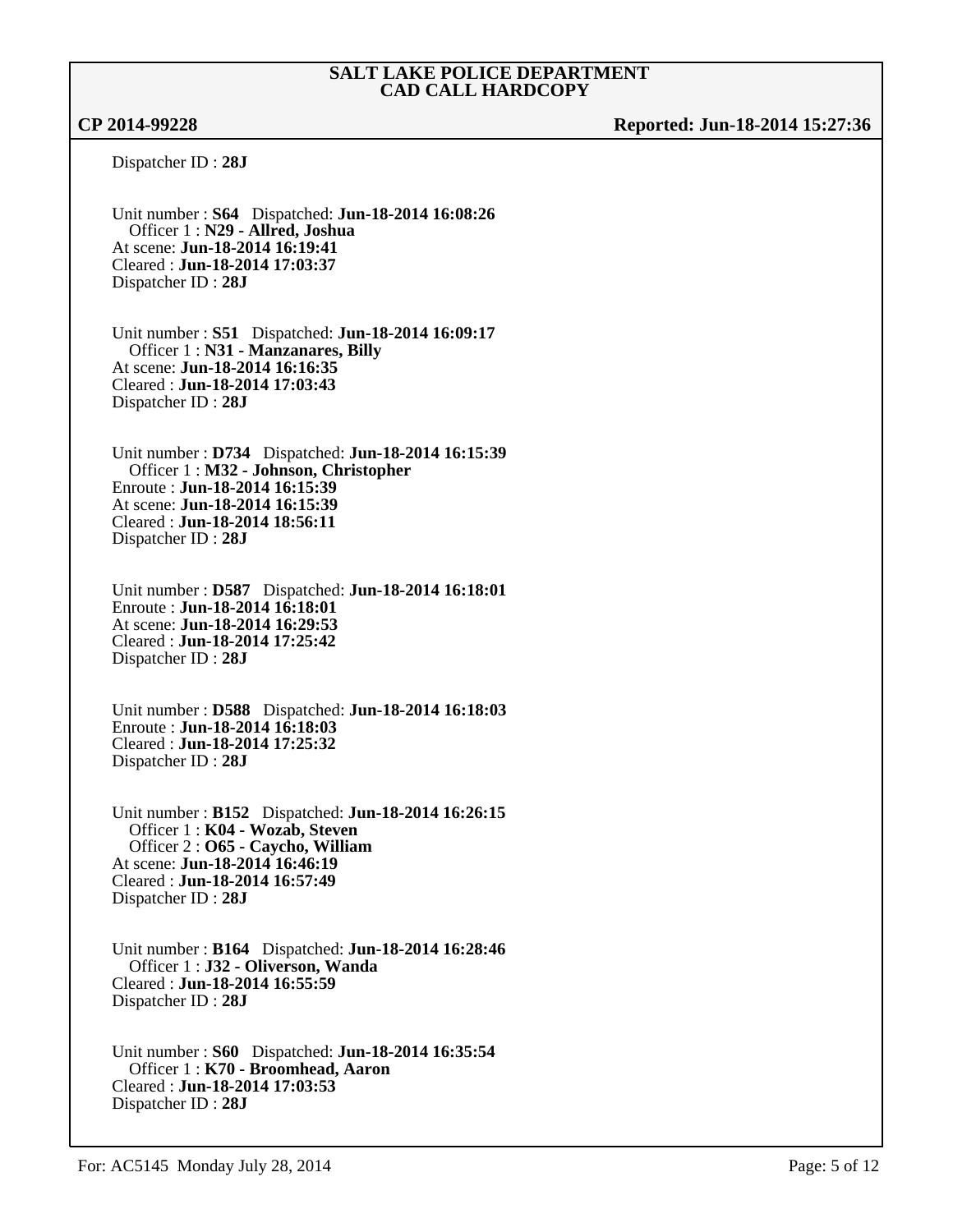**CP 2014-99228 Reported: Jun-18-2014 15:27:36**

Dispatcher ID : **28J**

Unit number : **S64** Dispatched: **Jun-18-2014 16:08:26** Officer 1 : **N29 - Allred, Joshua** At scene: **Jun-18-2014 16:19:41** Cleared : **Jun-18-2014 17:03:37** Dispatcher ID : **28J**

Unit number : **S51** Dispatched: **Jun-18-2014 16:09:17** Officer 1 : **N31 - Manzanares, Billy** At scene: **Jun-18-2014 16:16:35** Cleared : **Jun-18-2014 17:03:43** Dispatcher ID : **28J**

Unit number : **D734** Dispatched: **Jun-18-2014 16:15:39** Officer 1 : **M32 - Johnson, Christopher** Enroute : **Jun-18-2014 16:15:39** At scene: **Jun-18-2014 16:15:39** Cleared : **Jun-18-2014 18:56:11** Dispatcher ID : **28J**

Unit number : **D587** Dispatched: **Jun-18-2014 16:18:01** Enroute : **Jun-18-2014 16:18:01** At scene: **Jun-18-2014 16:29:53** Cleared : **Jun-18-2014 17:25:42** Dispatcher ID : **28J**

Unit number : **D588** Dispatched: **Jun-18-2014 16:18:03** Enroute : **Jun-18-2014 16:18:03** Cleared : **Jun-18-2014 17:25:32** Dispatcher ID : **28J**

Unit number : **B152** Dispatched: **Jun-18-2014 16:26:15** Officer 1 : **K04 - Wozab, Steven** Officer 2 : **O65 - Caycho, William** At scene: **Jun-18-2014 16:46:19** Cleared : **Jun-18-2014 16:57:49** Dispatcher ID : **28J**

Unit number : **B164** Dispatched: **Jun-18-2014 16:28:46** Officer 1 : **J32 - Oliverson, Wanda** Cleared : **Jun-18-2014 16:55:59** Dispatcher ID : **28J**

Unit number : **S60** Dispatched: **Jun-18-2014 16:35:54** Officer 1 : **K70 - Broomhead, Aaron** Cleared : **Jun-18-2014 17:03:53** Dispatcher ID : **28J**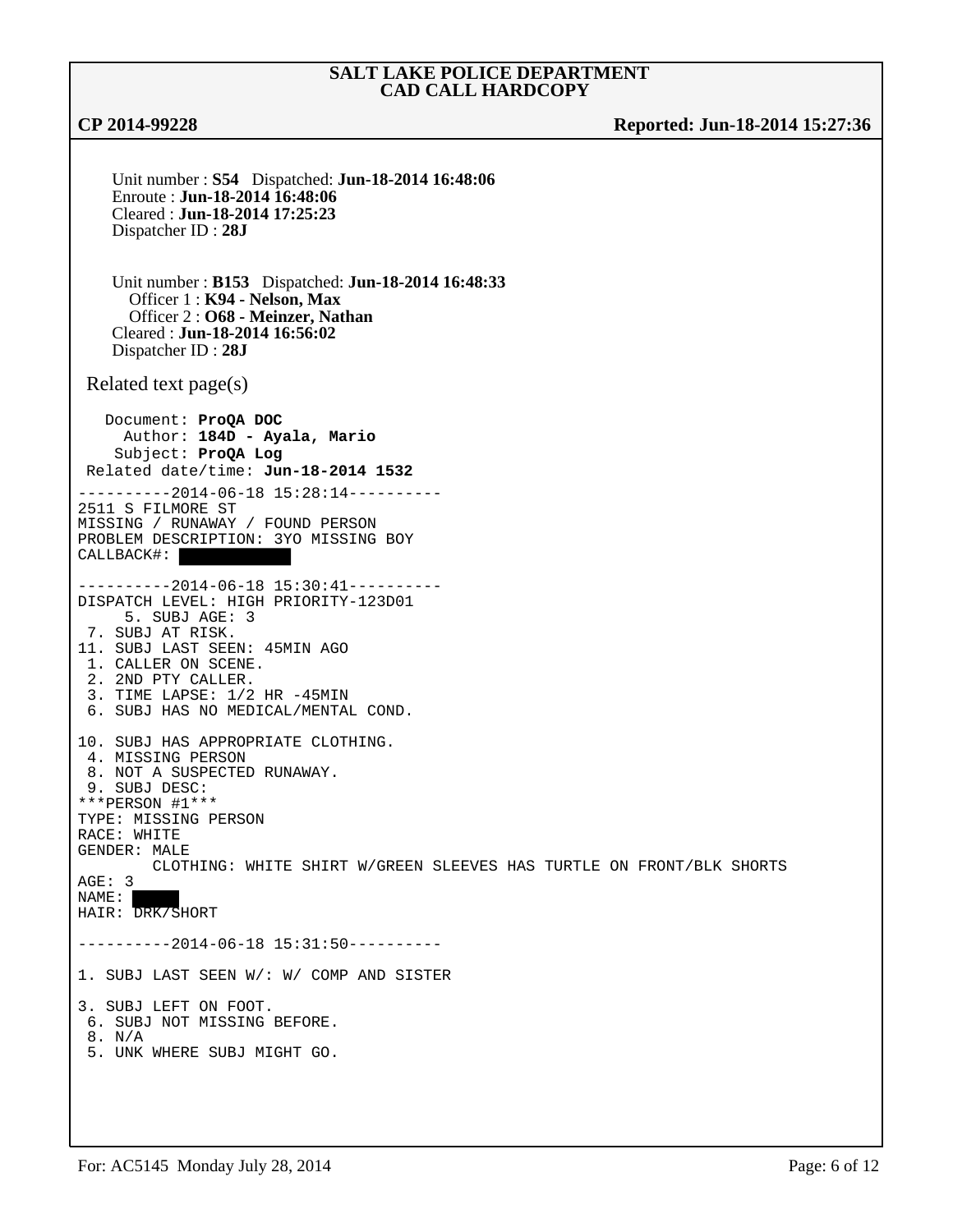**CP 2014-99228 Reported: Jun-18-2014 15:27:36**

Unit number : **S54** Dispatched: **Jun-18-2014 16:48:06** Enroute : **Jun-18-2014 16:48:06** Cleared : **Jun-18-2014 17:25:23** Dispatcher ID : **28J** Unit number : **B153** Dispatched: **Jun-18-2014 16:48:33** Officer 1 : **K94 - Nelson, Max** Officer 2 : **O68 - Meinzer, Nathan** Cleared : **Jun-18-2014 16:56:02** Dispatcher ID : **28J** Related text page(s) Document: **ProQA DOC** Author: **184D - Ayala, Mario** Subject: **ProQA Log** Related date/time: **Jun-18-2014 1532** ----------2014-06-18 15:28:14---------- 2511 S FILMORE ST MISSING / RUNAWAY / FOUND PERSON PROBLEM DESCRIPTION: 3YO MISSING BOY CALLBACK#: ----------2014-06-18 15:30:41---------- DISPATCH LEVEL: HIGH PRIORITY-123D01 5. SUBJ AGE: 3 7. SUBJ AT RISK. 11. SUBJ LAST SEEN: 45MIN AGO 1. CALLER ON SCENE. 2. 2ND PTY CALLER. 3. TIME LAPSE: 1/2 HR -45MIN 6. SUBJ HAS NO MEDICAL/MENTAL COND. 10. SUBJ HAS APPROPRIATE CLOTHING. 4. MISSING PERSON 8. NOT A SUSPECTED RUNAWAY. 9. SUBJ DESC: \*\*\*PERSON #1\*\*\* TYPE: MISSING PERSON RACE: WHITE GENDER: MALE CLOTHING: WHITE SHIRT W/GREEN SLEEVES HAS TURTLE ON FRONT/BLK SHORTS AGE: 3 NAME: HAIR: DRK/SHORT ----------2014-06-18 15:31:50---------- 1. SUBJ LAST SEEN W/: W/ COMP AND SISTER 3. SUBJ LEFT ON FOOT. 6. SUBJ NOT MISSING BEFORE. 8. N/A 5. UNK WHERE SUBJ MIGHT GO.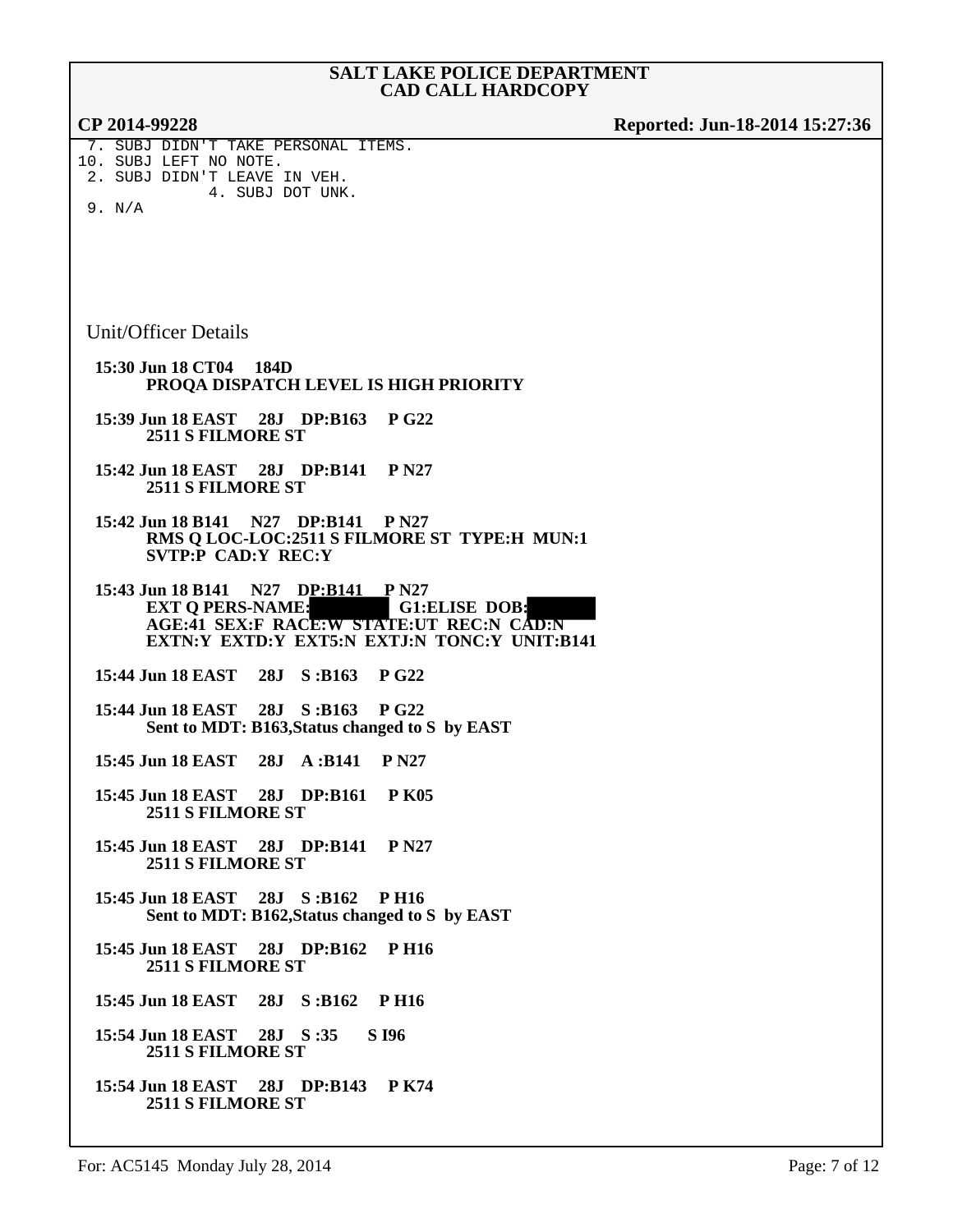| CP 2014-99228                                                                                                                                                                      | Reported: Jun-18-2014 15:27:36 |
|------------------------------------------------------------------------------------------------------------------------------------------------------------------------------------|--------------------------------|
| 7. SUBJ DIDN'T TAKE PERSONAL ITEMS.<br>10. SUBJ LEFT NO NOTE.<br>2. SUBJ DIDN'T LEAVE IN VEH.<br>4. SUBJ DOT UNK.<br>9. N/A                                                        |                                |
|                                                                                                                                                                                    |                                |
| Unit/Officer Details                                                                                                                                                               |                                |
| 15:30 Jun 18 CT04 184D<br>PROQA DISPATCH LEVEL IS HIGH PRIORITY                                                                                                                    |                                |
| 15:39 Jun 18 EAST 28J DP:B163 P G22<br><b>2511 S FILMORE ST</b>                                                                                                                    |                                |
| 15:42 Jun 18 EAST 28J DP:B141 P N27<br><b>2511 S FILMORE ST</b>                                                                                                                    |                                |
| 15:42 Jun 18 B141 N27 DP:B141 P N27<br>RMS Q LOC-LOC:2511 S FILMORE ST TYPE:H MUN:1<br>SVTP:P CAD:Y REC:Y                                                                          |                                |
| 15:43 Jun 18 B141 N27 DP:B141 P N27<br><b>EXT Q PERS-NAME:</b><br><b>G1:ELISE DOB:</b><br>AGE:41 SEX:F RACE:W STATE:UT REC:N CAD:N<br>EXTN:Y EXTD:Y EXT5:N EXTJ:N TONC:Y UNIT:B141 |                                |
| 15:44 Jun 18 EAST<br>28J<br>S: B163<br><b>P G22</b>                                                                                                                                |                                |
| 15:44 Jun 18 EAST 28J S:B163<br><b>PG22</b><br>Sent to MDT: B163, Status changed to S by EAST                                                                                      |                                |
| 15:45 Jun 18 EAST<br>28J A:B141<br>P N27                                                                                                                                           |                                |
| 15:45 Jun 18 EAST<br>28J DP:B161<br><b>P K05</b><br>2511 S FILMORE ST                                                                                                              |                                |
| 15:45 Jun 18 EAST 28J DP:B141 P N27<br>2511 S FILMORE ST                                                                                                                           |                                |
| 15:45 Jun 18 EAST 28J S:B162<br><b>PH16</b><br>Sent to MDT: B162, Status changed to S by EAST                                                                                      |                                |
| <b>PH16</b><br>15:45 Jun 18 EAST<br>28J DP:B162<br>2511 S FILMORE ST                                                                                                               |                                |
| 15:45 Jun 18 EAST<br>28J<br>S: B162<br><b>PH16</b>                                                                                                                                 |                                |
| 15:54 Jun 18 EAST 28J S:35<br><b>S</b> 196<br>2511 S FILMORE ST                                                                                                                    |                                |
| 15:54 Jun 18 EAST 28J DP:B143 P K74<br>2511 S FILMORE ST                                                                                                                           |                                |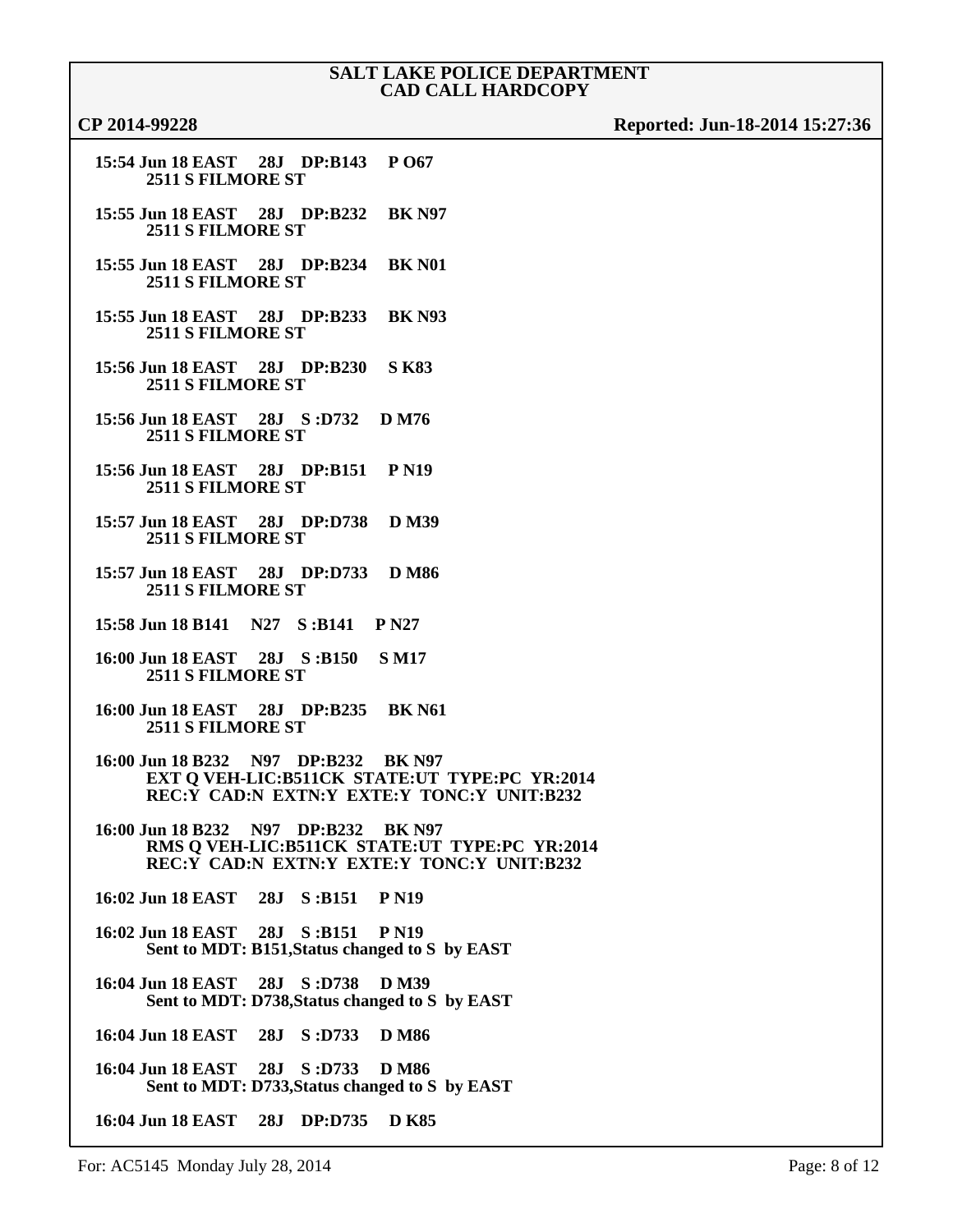| CP 2014-9922 |  |  |  |  |  |
|--------------|--|--|--|--|--|
|--------------|--|--|--|--|--|

```
CP 2014-99228 Reported: Jun-18-2014 15:27:36
```

| 15:54 Jun 18 EAST 28J DP:B143 P 067 |  |  |  |
|-------------------------------------|--|--|--|
| 2511 S FILMORE ST                   |  |  |  |

- **15:55 Jun 18 EAST 28J DP:B232 BK N97 2511 S FILMORE ST**
- **15:55 Jun 18 EAST 28J DP:B234 BK N01 2511 S FILMORE ST**
- **15:55 Jun 18 EAST 28J DP:B233 BK N93 2511 S FILMORE ST**
- **15:56 Jun 18 EAST 28J DP:B230 S K83 2511 S FILMORE ST**
- **15:56 Jun 18 EAST 28J S :D732 D M76 2511 S FILMORE ST**
- **15:56 Jun 18 EAST 28J DP:B151 P N19 2511 S FILMORE ST**
- **15:57 Jun 18 EAST 28J DP:D738 D M39 2511 S FILMORE ST**
- **15:57 Jun 18 EAST 28J DP:D733 D M86 2511 S FILMORE ST**
- **15:58 Jun 18 B141 N27 S :B141 P N27**
- **16:00 Jun 18 EAST 28J S :B150 S M17 2511 S FILMORE ST**
- **16:00 Jun 18 EAST 28J DP:B235 BK N61 2511 S FILMORE ST**
- **16:00 Jun 18 B232 N97 DP:B232 BK N97 EXT Q VEH-LIC:B511CK STATE:UT TYPE:PC YR:2014 REC:Y CAD:N EXTN:Y EXTE:Y TONC:Y UNIT:B232**
- **16:00 Jun 18 B232 N97 DP:B232 BK N97 RMS Q VEH-LIC:B511CK STATE:UT TYPE:PC YR:2014 REC:Y CAD:N EXTN:Y EXTE:Y TONC:Y UNIT:B232**
- **16:02 Jun 18 EAST 28J S :B151 P N19**
- **16:02 Jun 18 EAST 28J S :B151 P N19 Sent to MDT: B151,Status changed to S by EAST**
- **16:04 Jun 18 EAST 28J S :D738 D M39 Sent to MDT: D738,Status changed to S by EAST**
- **16:04 Jun 18 EAST 28J S :D733 D M86**
- **16:04 Jun 18 EAST 28J S :D733 D M86 Sent to MDT: D733,Status changed to S by EAST**
- **16:04 Jun 18 EAST 28J DP:D735 D K85**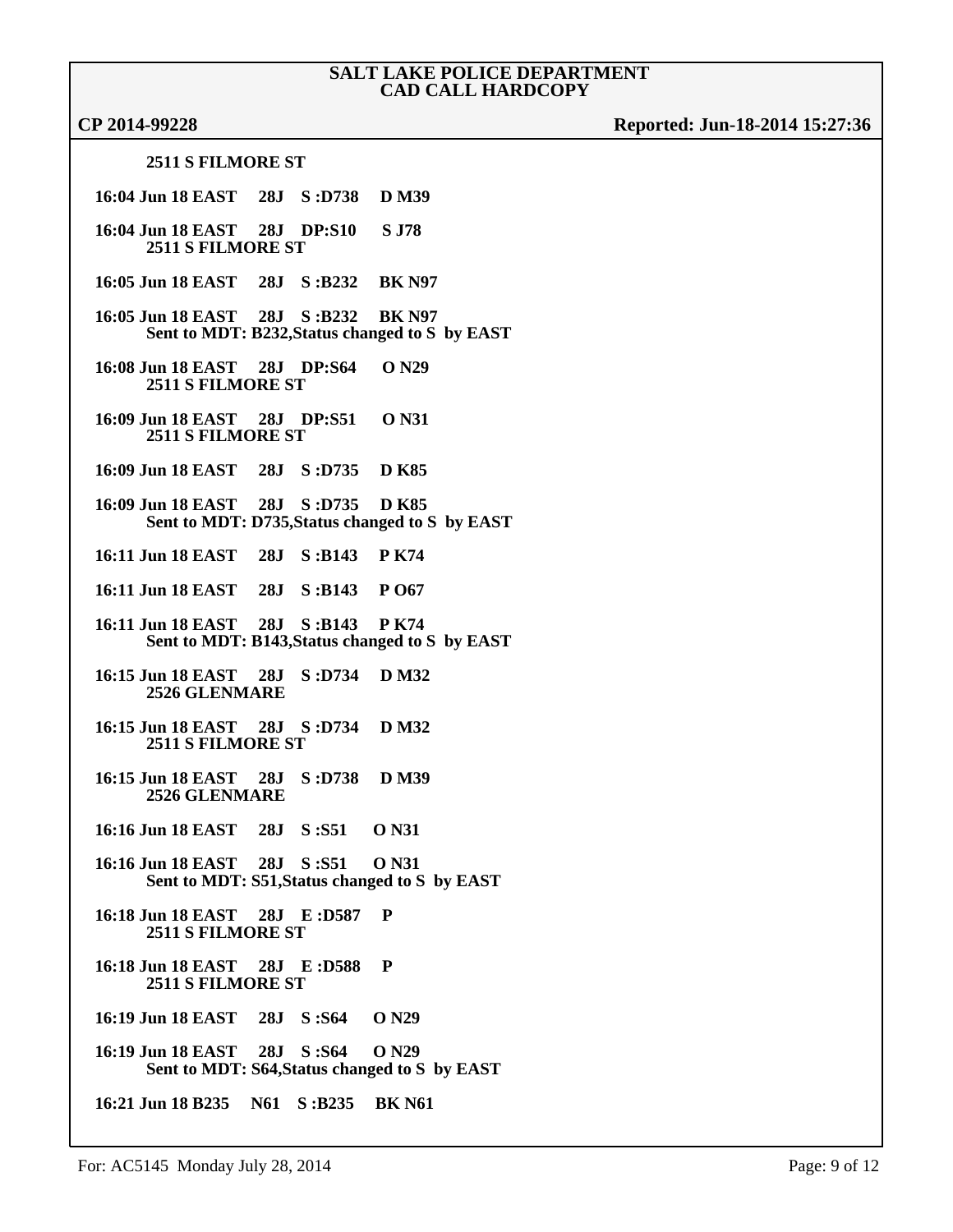# **CP 2014-99228 Reported: Jun-18-2014 15:27:36**

### **2511 S FILMORE ST**

| 16:04 Jun 18 EAST 28J S:D738 D M39                             |  |                                                |
|----------------------------------------------------------------|--|------------------------------------------------|
| 16:04 Jun 18 EAST 28J DP:S10 S J78<br><b>2511 S FILMORE ST</b> |  |                                                |
| 16:05 Jun 18 EAST 28J S:B232 BK N97                            |  |                                                |
| 16:05 Jun 18 EAST 28J S:B232 BK N97                            |  | Sent to MDT: B232, Status changed to S by EAST |
| 16:08 Jun 18 EAST 28J DP:S64 O N29<br><b>2511 S FILMORE ST</b> |  |                                                |
| 16:09 Jun 18 EAST 28J DP:S51 0 N31<br><b>2511 S FILMORE ST</b> |  |                                                |
| 16:09 Jun 18 EAST 28J S:D735 D K85                             |  |                                                |
| 16:09 Jun 18 EAST 28J S:D735 D K85                             |  | Sent to MDT: D735, Status changed to S by EAST |
| 16:11 Jun 18 EAST 28J S:B143 PK74                              |  |                                                |
| 16:11 Jun 18 EAST 28J S:B143 P O67                             |  |                                                |
| 16:11 Jun 18 EAST 28J S:B143 PK74                              |  | Sent to MDT: B143, Status changed to S by EAST |
| 16:15 Jun 18 EAST 28J S:D734 D M32<br><b>2526 GLENMARE</b>     |  |                                                |
| 16:15 Jun 18 EAST 28J S:D734 D M32<br><b>2511 S FILMORE ST</b> |  |                                                |
| 16:15 Jun 18 EAST 28J S:D738 D M39<br><b>2526 GLENMARE</b>     |  |                                                |
| 16:16 Jun 18 EAST 28J S:S51 0 N31                              |  |                                                |
| 16:16 Jun 18 EAST 28J S:S51 0 N31                              |  | Sent to MDT: S51, Status changed to S by EAST  |
| 16:18 Jun 18 EAST 28J E:D587<br><b>2511 S FILMORE ST</b>       |  | P                                              |
| 16:18 Jun 18 EAST 28J E:D588 P<br><b>2511 S FILMORE ST</b>     |  |                                                |
| 16:19 Jun 18 EAST 28J S:S64 O N29                              |  |                                                |
| 16:19 Jun 18 EAST 28J S:S64 O N29                              |  | Sent to MDT: S64, Status changed to S by EAST  |
| 16:21 Jun 18 B235 N61 S:B235 BK N61                            |  |                                                |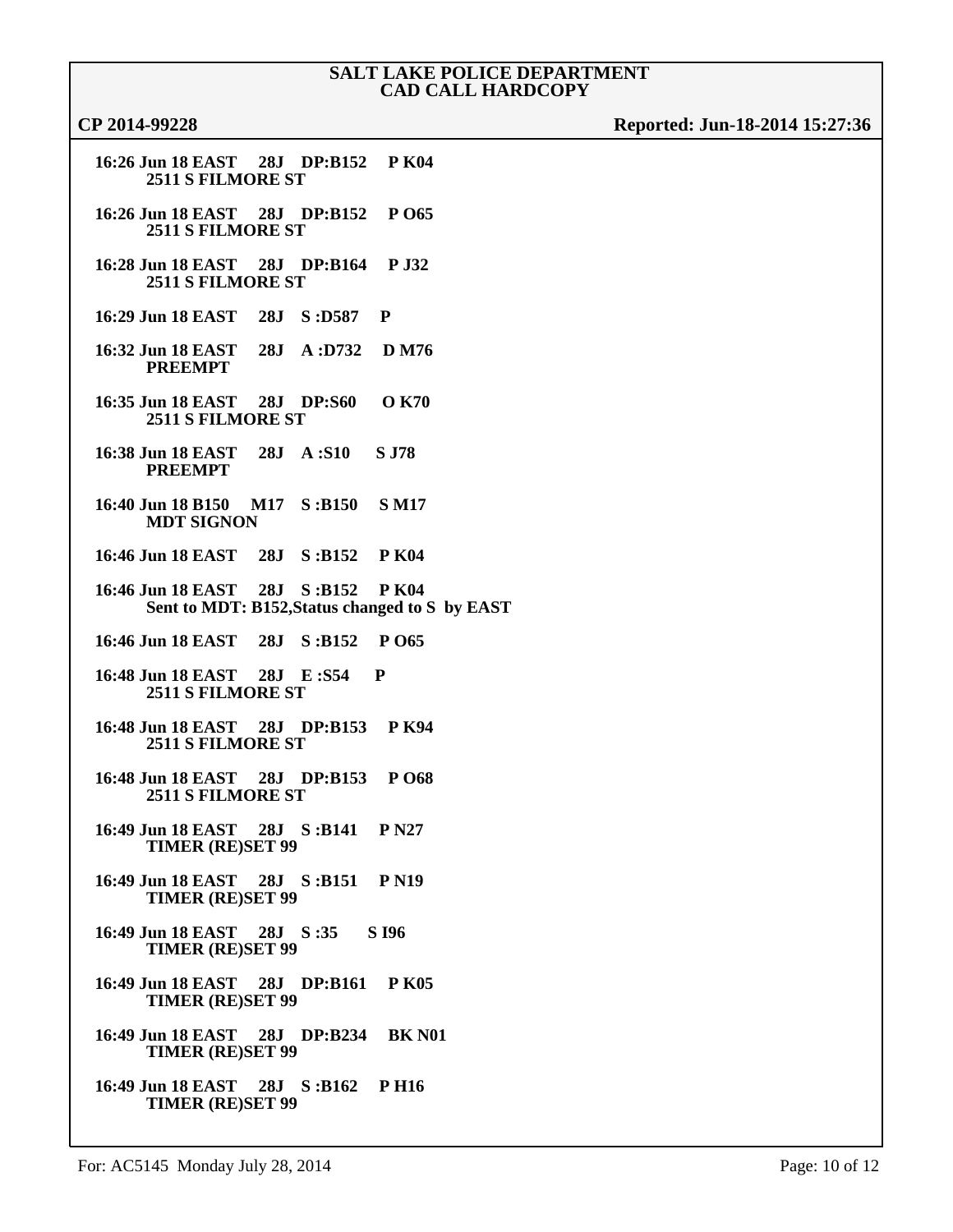| 16:26 Jun 18 EAST 28J DP:B152 P K04<br><b>2511 S FILMORE ST</b>                      |
|--------------------------------------------------------------------------------------|
| 16:26 Jun 18 EAST 28J DP:B152 P 065<br><b>2511 S FILMORE ST</b>                      |
| 16:28 Jun 18 EAST 28J DP:B164 P J32<br>2511 S FILMORE ST                             |
| 16:29 Jun 18 EAST 28J S:D587 P                                                       |
| 16:32 Jun 18 EAST 28J A:D732 D M76<br><b>PREEMPT</b>                                 |
| 16:35 Jun 18 EAST 28J DP:S60 O K70<br><b>2511 S FILMORE ST</b>                       |
| 16:38 Jun 18 EAST 28J A:S10 S J78<br><b>PREEMPT</b>                                  |
| 16:40 Jun 18 B150 M17 S:B150 SM17<br><b>MDT SIGNON</b>                               |
| 16:46 Jun 18 EAST 28J S:B152 PK04                                                    |
| 16:46 Jun 18 EAST 28J S:B152 P K04<br>Sent to MDT: B152, Status changed to S by EAST |
| 16:46 Jun 18 EAST 28J S:B152 P 065                                                   |
| 16:48 Jun 18 EAST 28J E:S54 P<br><b>2511 S FILMORE ST</b>                            |
| 16:48 Jun 18 EAST 28J DP:B153 PK94<br><b>2511 S FILMORE ST</b>                       |
| 16:48 Jun 18 EAST 28J DP:B153 P 068<br><b>2511 S FILMORE ST</b>                      |
| 16:49 Jun 18 EAST 28J S:B141 PN27<br><b>TIMER (RE)SET 99</b>                         |
| 16:49 Jun 18 EAST 28J S:B151 P N19<br><b>TIMER (RE)SET 99</b>                        |
| 16:49 Jun 18 EAST 28J S:35 S 196<br><b>TIMER (RE)SET 99</b>                          |
| 16:49 Jun 18 EAST 28J DP:B161 PK05<br><b>TIMER (RE)SET 99</b>                        |
| 16:49 Jun 18 EAST 28J DP:B234 BK N01<br><b>TIMER (RE)SET 99</b>                      |
| 16:49 Jun 18 EAST 28J S:B162 P H16<br><b>TIMER (RE)SET 99</b>                        |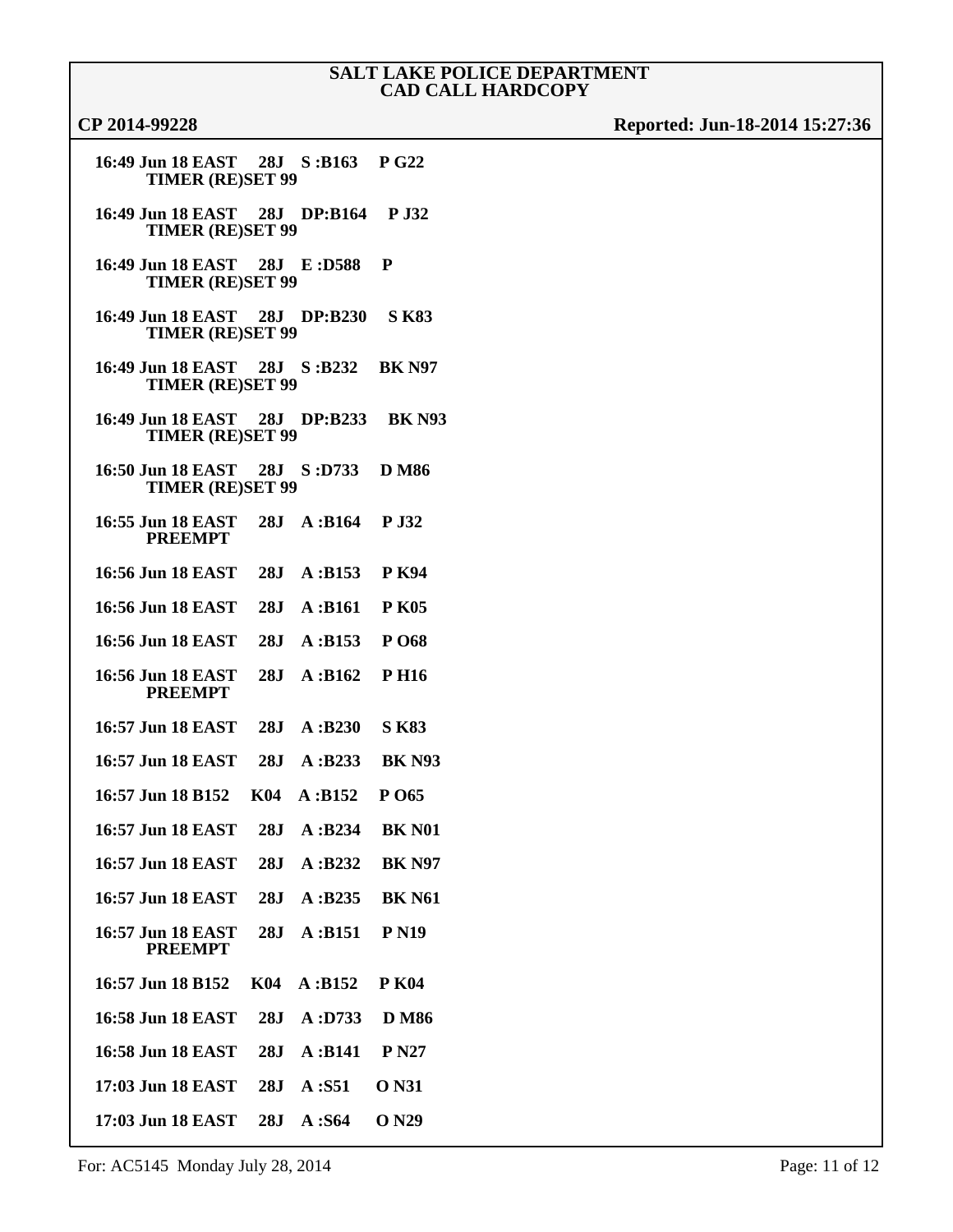| 16:49 Jun 18 EAST<br><b>TIMER (RE)SET 99</b>             |            | 28J S:B163  | <b>P G22</b>             |
|----------------------------------------------------------|------------|-------------|--------------------------|
| 16:49 Jun 18 EAST 28J DP:B164<br><b>TIMER (RE)SET 99</b> |            |             | <b>P J32</b>             |
| 16:49 Jun 18 EAST<br><b>TIMER (RE)SET 99</b>             |            | 28J E:D588  | P                        |
| 16:49 Jun 18 EAST<br><b>TIMER (RE)SET 99</b>             |            | 28J DP:B230 | <b>S K83</b>             |
| 16:49 Jun 18 EAST<br><b>TIMER (RE)SET 99</b>             |            | 28J S:B232  | <b>BK N97</b>            |
| 16:49 Jun 18 EAST<br><b>TIMER (RE)SET 99</b>             |            | 28J DP:B233 | <b>BK N93</b>            |
| 16:50 Jun 18 EAST<br><b>TIMER (RE)SET 99</b>             |            | 28J S:D733  | <b>D</b> M <sub>86</sub> |
| 16:55 Jun 18 EAST<br><b>PREEMPT</b>                      | 28J        | A: B164     | P J32                    |
| 16:56 Jun 18 EAST                                        | 28J        | A: B153     | <b>P</b> K94             |
| 16:56 Jun 18 EAST                                        | 28J        | A: B161     | <b>P K05</b>             |
| 16:56 Jun 18 EAST                                        | 28J        | A: B153     | P O68                    |
| 16:56 Jun 18 EAST<br><b>PREEMPT</b>                      | 28J        | A: B162     | <b>PH16</b>              |
| 16:57 Jun 18 EAST                                        | 28J        | A: B230     | <b>S K83</b>             |
| 16:57 Jun 18 EAST                                        | 28J        | A:B233      | <b>BK N93</b>            |
| 16:57 Jun 18 B152                                        | <b>K04</b> | A: B152     | P O65                    |
| 16:57 Jun 18 EAST                                        | 28J        | A:B234      | <b>BK N01</b>            |
| 16:57 Jun 18 EAST                                        | 28J        | A:B232      | <b>BK N97</b>            |
| 16:57 Jun 18 EAST                                        | 28J        | A:B235      | <b>BK N61</b>            |
| 16:57 Jun 18 EAST<br><b>PREEMPT</b>                      | 28J        | A: B151     | <b>P</b> N <sub>19</sub> |
| 16:57 Jun 18 B152                                        | <b>K04</b> | A: B152     | <b>P K04</b>             |
| 16:58 Jun 18 EAST                                        | 28J        | A: D733     | <b>D</b> M <sub>86</sub> |
| 16:58 Jun 18 EAST                                        | 28J        | A: B141     | <b>P</b> N27             |
| 17:03 Jun 18 EAST                                        | 28J        | A: S51      | <b>O</b> N31             |
| 17:03 Jun 18 EAST                                        | 28J        | A: S64      | O N29                    |